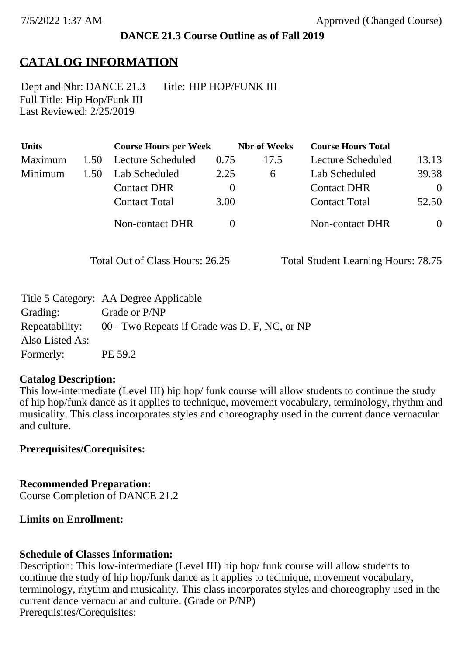### **DANCE 21.3 Course Outline as of Fall 2019**

# **CATALOG INFORMATION**

Full Title: Hip Hop/Funk III Last Reviewed: 2/25/2019 Dept and Nbr: DANCE 21.3 Title: HIP HOP/FUNK III

| <b>Units</b>   |      | <b>Course Hours per Week</b> |          | <b>Nbr</b> of Weeks | <b>Course Hours Total</b> |                |
|----------------|------|------------------------------|----------|---------------------|---------------------------|----------------|
| <b>Maximum</b> | 1.50 | Lecture Scheduled            | 0.75     | 17.5                | Lecture Scheduled         | 13.13          |
| Minimum        | 1.50 | Lab Scheduled                | 2.25     | 6                   | Lab Scheduled             | 39.38          |
|                |      | <b>Contact DHR</b>           | $\theta$ |                     | <b>Contact DHR</b>        | $\theta$       |
|                |      | <b>Contact Total</b>         | 3.00     |                     | <b>Contact Total</b>      | 52.50          |
|                |      | Non-contact DHR              | $\Omega$ |                     | Non-contact DHR           | $\overline{0}$ |

Total Out of Class Hours: 26.25 Total Student Learning Hours: 78.75

|                 | Title 5 Category: AA Degree Applicable        |
|-----------------|-----------------------------------------------|
| Grading:        | Grade or P/NP                                 |
| Repeatability:  | 00 - Two Repeats if Grade was D, F, NC, or NP |
| Also Listed As: |                                               |
| Formerly:       | PE 59.2                                       |

### **Catalog Description:**

This low-intermediate (Level III) hip hop/ funk course will allow students to continue the study of hip hop/funk dance as it applies to technique, movement vocabulary, terminology, rhythm and musicality. This class incorporates styles and choreography used in the current dance vernacular and culture.

### **Prerequisites/Corequisites:**

**Recommended Preparation:** Course Completion of DANCE 21.2

### **Limits on Enrollment:**

### **Schedule of Classes Information:**

Description: This low-intermediate (Level III) hip hop/ funk course will allow students to continue the study of hip hop/funk dance as it applies to technique, movement vocabulary, terminology, rhythm and musicality. This class incorporates styles and choreography used in the current dance vernacular and culture. (Grade or P/NP) Prerequisites/Corequisites: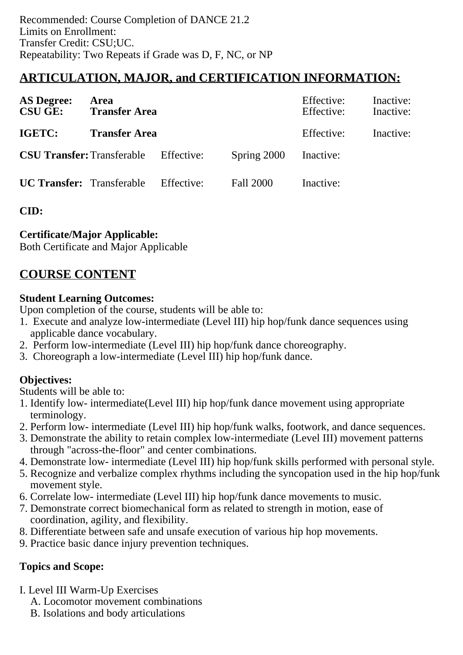# **ARTICULATION, MAJOR, and CERTIFICATION INFORMATION:**

| <b>AS Degree:</b><br><b>CSU GE:</b> | Area<br><b>Transfer Area</b>                 |            |                  | Effective:<br>Effective: | Inactive:<br>Inactive: |
|-------------------------------------|----------------------------------------------|------------|------------------|--------------------------|------------------------|
| IGETC:                              | <b>Transfer Area</b>                         |            |                  | Effective:               | Inactive:              |
|                                     | <b>CSU Transfer:</b> Transferable Effective: |            | Spring 2000      | Inactive:                |                        |
| <b>UC Transfer:</b> Transferable    |                                              | Effective: | <b>Fall 2000</b> | Inactive:                |                        |

**CID:**

### **Certificate/Major Applicable:**

[Both Certificate and Major Applicable](SR_ClassCheck.aspx?CourseKey=DANCE21.3)

# **COURSE CONTENT**

### **Student Learning Outcomes:**

Upon completion of the course, students will be able to:

- 1. Execute and analyze low-intermediate (Level III) hip hop/funk dance sequences using applicable dance vocabulary.
- 2. Perform low-intermediate (Level III) hip hop/funk dance choreography.
- 3. Choreograph a low-intermediate (Level III) hip hop/funk dance.

## **Objectives:**

Students will be able to:

- 1. Identify low- intermediate(Level III) hip hop/funk dance movement using appropriate terminology.
- 2. Perform low- intermediate (Level III) hip hop/funk walks, footwork, and dance sequences.
- 3. Demonstrate the ability to retain complex low-intermediate (Level III) movement patterns through "across-the-floor" and center combinations.
- 4. Demonstrate low- intermediate (Level III) hip hop/funk skills performed with personal style.
- 5. Recognize and verbalize complex rhythms including the syncopation used in the hip hop/funk movement style.
- 6. Correlate low- intermediate (Level III) hip hop/funk dance movements to music.
- 7. Demonstrate correct biomechanical form as related to strength in motion, ease of coordination, agility, and flexibility.
- 8. Differentiate between safe and unsafe execution of various hip hop movements.
- 9. Practice basic dance injury prevention techniques.

## **Topics and Scope:**

- I. Level III Warm-Up Exercises
	- A. Locomotor movement combinations
	- B. Isolations and body articulations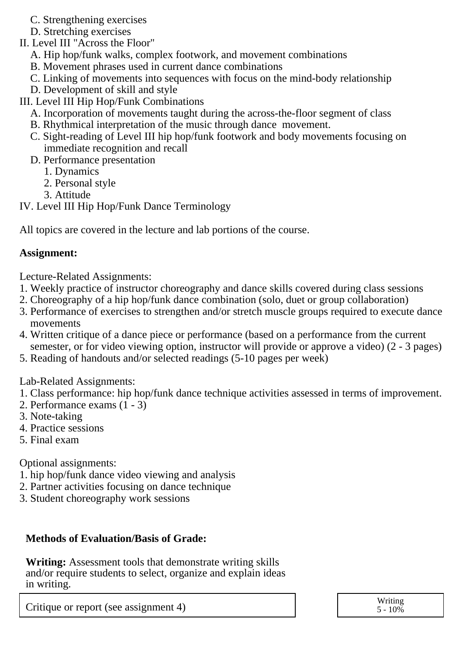- C. Strengthening exercises
- D. Stretching exercises
- II. Level III "Across the Floor"
	- A. Hip hop/funk walks, complex footwork, and movement combinations
	- B. Movement phrases used in current dance combinations
	- C. Linking of movements into sequences with focus on the mind-body relationship
	- D. Development of skill and style

III. Level III Hip Hop/Funk Combinations

- A. Incorporation of movements taught during the across-the-floor segment of class
- B. Rhythmical interpretation of the music through dance movement.
- C. Sight-reading of Level III hip hop/funk footwork and body movements focusing on immediate recognition and recall
- D. Performance presentation
	- 1. Dynamics
	- 2. Personal style
	- 3. Attitude
- IV. Level III Hip Hop/Funk Dance Terminology

All topics are covered in the lecture and lab portions of the course.

### **Assignment:**

Lecture-Related Assignments:

- 1. Weekly practice of instructor choreography and dance skills covered during class sessions
- 2. Choreography of a hip hop/funk dance combination (solo, duet or group collaboration)
- 3. Performance of exercises to strengthen and/or stretch muscle groups required to execute dance movements
- 4. Written critique of a dance piece or performance (based on a performance from the current semester, or for video viewing option, instructor will provide or approve a video) (2 - 3 pages)
- 5. Reading of handouts and/or selected readings (5-10 pages per week)

Lab-Related Assignments:

- 1. Class performance: hip hop/funk dance technique activities assessed in terms of improvement.
- 2. Performance exams (1 3)
- 3. Note-taking
- 4. Practice sessions
- 5. Final exam

Optional assignments:

- 1. hip hop/funk dance video viewing and analysis
- 2. Partner activities focusing on dance technique
- 3. Student choreography work sessions

### **Methods of Evaluation/Basis of Grade:**

**Writing:** Assessment tools that demonstrate writing skills and/or require students to select, organize and explain ideas in writing.

Critique or report (see assignment 4) Writing S - 10%